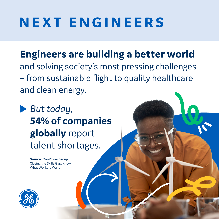## **NEXT ENGINEERS**

**Engineers are building a better world** and solving society's most pressing challenges – from sustainable flight to quality healthcare and clean energy.

*But today,*  **54% of companies globally** report talent shortages.

> **Source:** ManPower Group: Closing the Skills Gap: Know What Workers Want

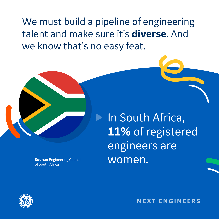We must build a pipeline of engineering talent and make sure it's **diverse**. And we know that's no easy feat.



**Source:** Engineering Council of South Africa

**In South Africa, 11%** of registered engineers are women.

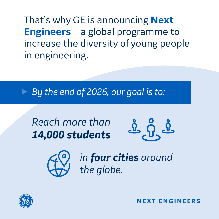That's why GE is announcing **Next Engineers** – a global programme to increase the diversity of young people in engineering.

*By the end of 2026, our goal is to:*

*Reach more than 14,000 students* 





*in four cities around the globe.*

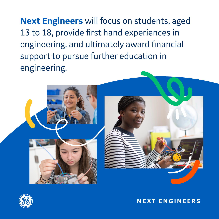**Next Engineers** will focus on students, aged 13 to 18, provide first hand experiences in engineering, and ultimately award financial support to pursue further education in engineering.



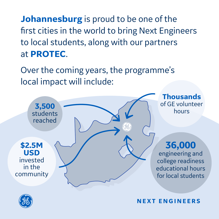**Johannesburg** is proud to be one of the first cities in the world to bring Next Engineers to local students, along with our partners at **PROTEC**.

Over the coming years, the programme's local impact will include: